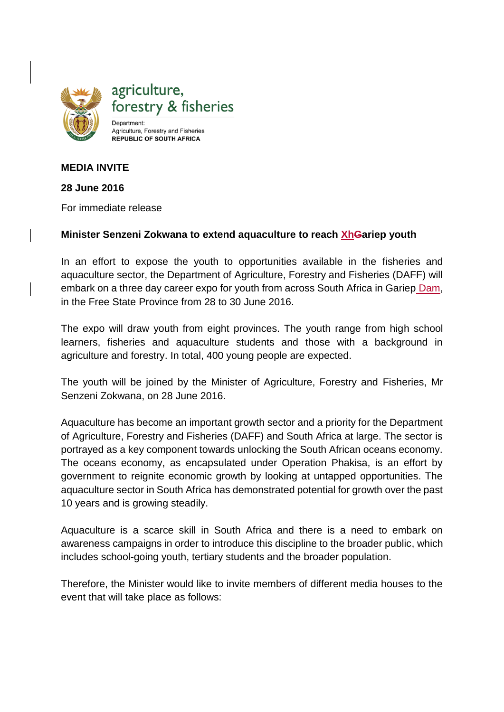

# **MEDIA INVITE**

### **28 June 2016**

For immediate release

### **Minister Senzeni Zokwana to extend aquaculture to reach XhGariep youth**

In an effort to expose the youth to opportunities available in the fisheries and aquaculture sector, the Department of Agriculture, Forestry and Fisheries (DAFF) will embark on a three day career expo for youth from across South Africa in Gariep Dam, in the Free State Province from 28 to 30 June 2016.

The expo will draw youth from eight provinces. The youth range from high school learners, fisheries and aquaculture students and those with a background in agriculture and forestry. In total, 400 young people are expected.

The youth will be joined by the Minister of Agriculture, Forestry and Fisheries, Mr Senzeni Zokwana, on 28 June 2016.

Aquaculture has become an important growth sector and a priority for the Department of Agriculture, Forestry and Fisheries (DAFF) and South Africa at large. The sector is portrayed as a key component towards unlocking the South African oceans economy. The oceans economy, as encapsulated under Operation Phakisa, is an effort by government to reignite economic growth by looking at untapped opportunities. The aquaculture sector in South Africa has demonstrated potential for growth over the past 10 years and is growing steadily.

Aquaculture is a scarce skill in South Africa and there is a need to embark on awareness campaigns in order to introduce this discipline to the broader public, which includes school-going youth, tertiary students and the broader population.

Therefore, the Minister would like to invite members of different media houses to the event that will take place as follows: